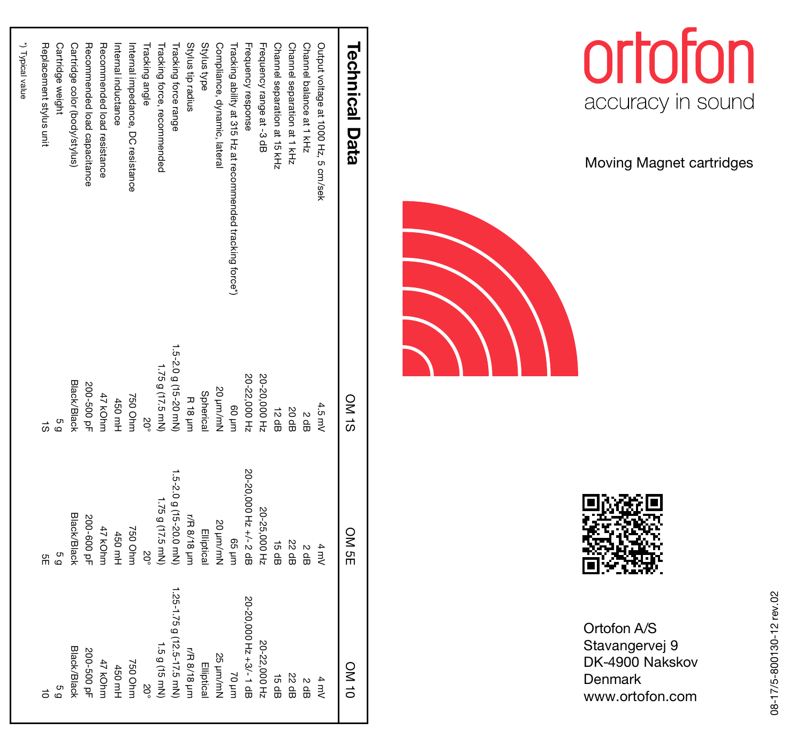| <b>Technical Data</b>                                      | ON 1S                | ON SE                  | ON NO                      |
|------------------------------------------------------------|----------------------|------------------------|----------------------------|
| Output voltage at 1000 Hz, 5 cm/sek                        | 4.5 mV               | 4 mV                   | $4 \text{ mV}$             |
| Channel balance at 1 kHz                                   | s<br>윤               | S dB                   | S dB                       |
| Channel separation at 1 kHz                                | S0 dB                | 22 dB                  | 22 dB                      |
| Channel separation at 15 kHz                               | 12 dB                | 15 dB                  | 15 dB                      |
| Frequency range at -3 dB                                   | 20-20,000 Hz         | 20-25,000 Hz           | 20-22,000 Hz               |
| Frequency response                                         | 20-22,000 Hz         | 20-20,000 Hz +/- 2 dB  | 20-20,000 Hz +3/-1 dB      |
| Tracking ability at 315 Hz at recommended tracking force*) | uuri 09              | uuri 99                | uurl 0/                    |
| Compliance, dynamic, lateral                               | 20 um/mN             | 20 um/mN               | 25 µm/mN                   |
| Stylus type                                                | Spherical            | Elliptica              | Elliptical                 |
| Stylus tip radius                                          | <b>R18 µm</b>        | r/R 8/18 µm            | r/R 8/18 µm                |
| Fracking force range                                       | 1.5-2.0 g (15-20 mN) | 1.5-2.0 g (15-20.0 mN) | 1.25-1.75 g (12.5-17.5 mN) |
| Tracking force, recommended                                | 1.75 g (17.5 mN)     | 1.75 g (17.5 mN)       | 1.5 g (15 mN)              |
| Tracking angle                                             | $\overline{50}$      | $\overline{0}$         |                            |
| Internal impedance, DC resistance                          | 750 Ohm              | 750 Ohm                | 750 Ohm                    |
| Internal inductance                                        | 450 mH               | 450 mH                 | 450 mH                     |
| Recommended load resistance                                | 47 kOhrr             | 47 kOhm                | 47 kOhm                    |
| Recommended load capacitance                               | 200-500 pF           | 200-600 pF             | 200-500 pF                 |
| Cartridge color (body/stylus)                              | Black/Black          | Black/Black            | Black/Black                |
| Cartridge weight                                           | g<br>Q               | G<br>Q                 | 69                         |
| Replacement stylus unit                                    | $\vec{a}$            | å                      |                            |
| *) Typical value                                           |                      |                        |                            |



Moving Magnet cartridges





Ortofon A/S Stavangervej 9 DK-4900 Nakskov **Denmark** www.ortofon.com